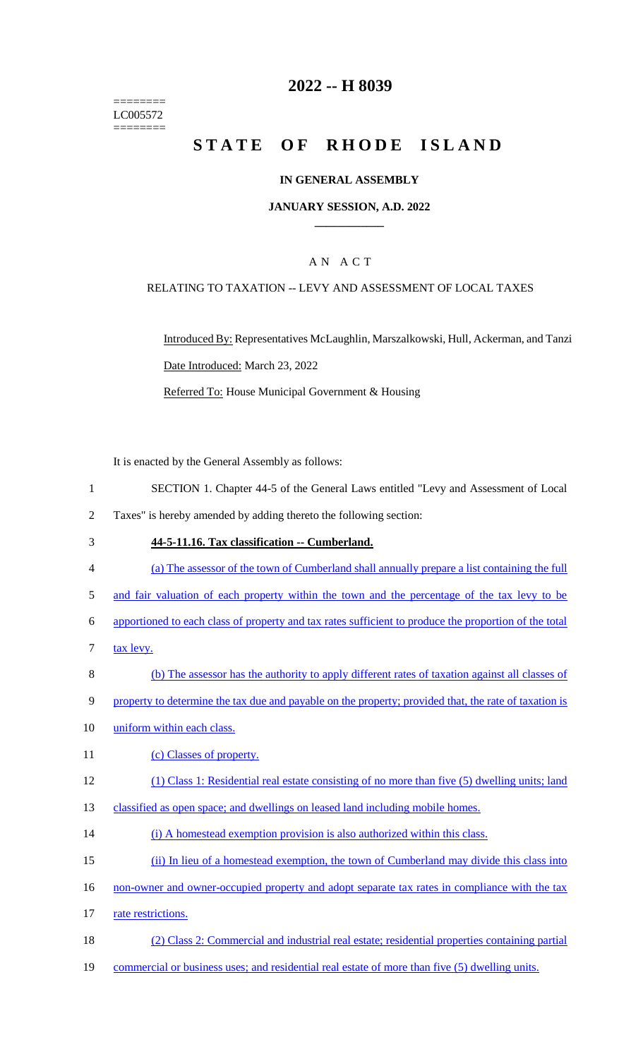======== LC005572 ========

## **2022 -- H 8039**

# **STATE OF RHODE ISLAND**

#### **IN GENERAL ASSEMBLY**

#### **JANUARY SESSION, A.D. 2022 \_\_\_\_\_\_\_\_\_\_\_\_**

### A N A C T

#### RELATING TO TAXATION -- LEVY AND ASSESSMENT OF LOCAL TAXES

Introduced By: Representatives McLaughlin, Marszalkowski, Hull, Ackerman, and Tanzi Date Introduced: March 23, 2022 Referred To: House Municipal Government & Housing

It is enacted by the General Assembly as follows:

- 1 SECTION 1. Chapter 44-5 of the General Laws entitled "Levy and Assessment of Local
- 2 Taxes" is hereby amended by adding thereto the following section:
- 3 **44-5-11.16. Tax classification -- Cumberland.**
- 4 (a) The assessor of the town of Cumberland shall annually prepare a list containing the full
- 5 and fair valuation of each property within the town and the percentage of the tax levy to be
- 6 apportioned to each class of property and tax rates sufficient to produce the proportion of the total
- 7 tax levy.
- 8 (b) The assessor has the authority to apply different rates of taxation against all classes of
- 9 property to determine the tax due and payable on the property; provided that, the rate of taxation is
- 10 uniform within each class.
- 11 (c) Classes of property.
- 12 (1) Class 1: Residential real estate consisting of no more than five (5) dwelling units; land
- 13 classified as open space; and dwellings on leased land including mobile homes.
- 14 (i) A homestead exemption provision is also authorized within this class.
- 15 (ii) In lieu of a homestead exemption, the town of Cumberland may divide this class into
- 16 non-owner and owner-occupied property and adopt separate tax rates in compliance with the tax
- 17 rate restrictions.
- 18 (2) Class 2: Commercial and industrial real estate; residential properties containing partial
- 19 commercial or business uses; and residential real estate of more than five (5) dwelling units.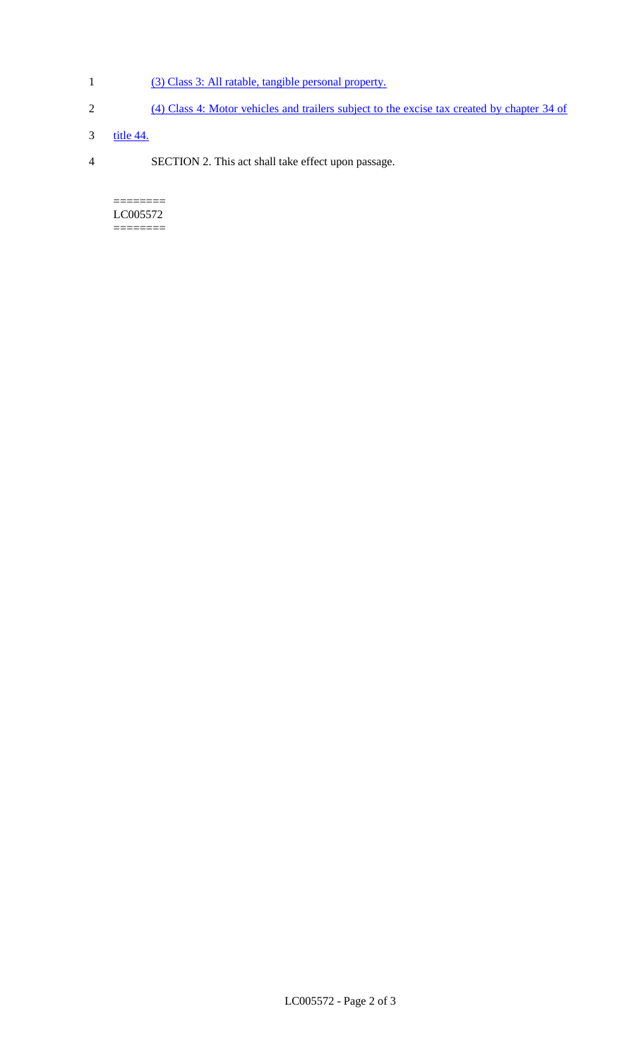- 1 (3) Class 3: All ratable, tangible personal property.
- 2 (4) Class 4: Motor vehicles and trailers subject to the excise tax created by chapter 34 of
- 3 <u>title 44.</u>
- 4 SECTION 2. This act shall take effect upon passage.

======== LC005572 ========